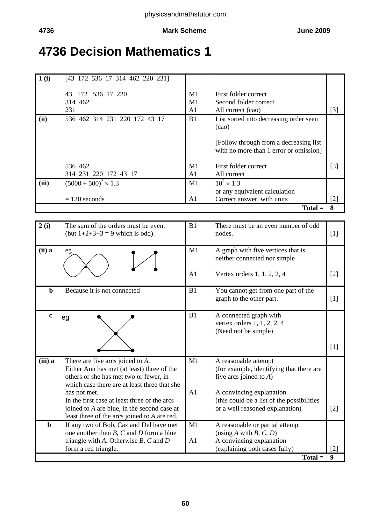# **4736 Decision Mathematics 1**

| 1(i)  | [43 172 536 17 314 462 220 231] |                |                                                                                   |                   |
|-------|---------------------------------|----------------|-----------------------------------------------------------------------------------|-------------------|
|       | 172 536 17 220<br>43            | M <sub>1</sub> | First folder correct                                                              |                   |
|       | 314 462                         | M1             | Second folder correct                                                             |                   |
|       | 231                             | A <sub>1</sub> | All correct (cao)                                                                 | $\lceil 3 \rceil$ |
| (ii)  | 536 462 314 231 220 172 43 17   | B <sub>1</sub> | List sorted into decreasing order seen<br>(cao)                                   |                   |
|       |                                 |                | [Follow through from a decreasing list]<br>with no more than 1 error or omission] |                   |
|       | 536 462                         | M1             | First folder correct                                                              | $[3]$             |
|       | 314 231 220 172 43 17           | A1             | All correct                                                                       |                   |
| (iii) | $(5000 \div 500)^2 \times 1.3$  | M1             | $10^{2} \times 1.3$                                                               |                   |
|       |                                 |                | or any equivalent calculation                                                     |                   |
|       | $= 130$ seconds                 | A1             | Correct answer, with units                                                        | [2]               |
|       |                                 |                | $Total =$                                                                         | 8                 |

| 2(i)           | The sum of the orders must be even,<br>(but $1+2+3+3=9$ which is odd).                                                                                                      | B <sub>1</sub> | There must be an even number of odd<br>nodes.                                                 | $[1]$             |
|----------------|-----------------------------------------------------------------------------------------------------------------------------------------------------------------------------|----------------|-----------------------------------------------------------------------------------------------|-------------------|
| $(ii)$ a       | eg                                                                                                                                                                          | M1             | A graph with five vertices that is<br>neither connected nor simple                            |                   |
|                |                                                                                                                                                                             | A1             | Vertex orders 1, 1, 2, 2, 4                                                                   | $\lceil 2 \rceil$ |
| b              | Because it is not connected                                                                                                                                                 | B <sub>1</sub> | You cannot get from one part of the<br>graph to the other part.                               | [1]               |
| $\mathbf{c}$   | eg                                                                                                                                                                          | B1             | A connected graph with<br>vertex orders 1, 1, 2, 2, 4<br>(Need not be simple)                 |                   |
|                |                                                                                                                                                                             |                |                                                                                               | [1]               |
| (iii) a        | There are five arcs joined to $A$ .<br>Either Ann has met (at least) three of the<br>others or she has met two or fewer, in<br>which case there are at least three that she | M1             | A reasonable attempt<br>(for example, identifying that there are<br>five arcs joined to $A$ ) |                   |
|                | has not met.                                                                                                                                                                | A <sub>1</sub> | A convincing explanation                                                                      |                   |
|                | In the first case at least three of the arcs<br>joined to A are blue, in the second case at<br>least three of the arcs joined to A are red.                                 |                | (this could be a list of the possibilities)<br>or a well reasoned explanation)                | $\lceil 2 \rceil$ |
| $\mathbf b$    | If any two of Bob, Caz and Del have met                                                                                                                                     | M1             | A reasonable or partial attempt                                                               |                   |
|                | one another then $B$ , $C$ and $D$ form a blue<br>triangle with $A$ . Otherwise $B$ , $C$ and $D$                                                                           | A <sub>1</sub> | (using A with B, C, D)<br>A convincing explanation                                            |                   |
|                | form a red triangle.                                                                                                                                                        |                | (explaining both cases fully)                                                                 | [2]               |
| $Total =$<br>9 |                                                                                                                                                                             |                |                                                                                               |                   |

**60**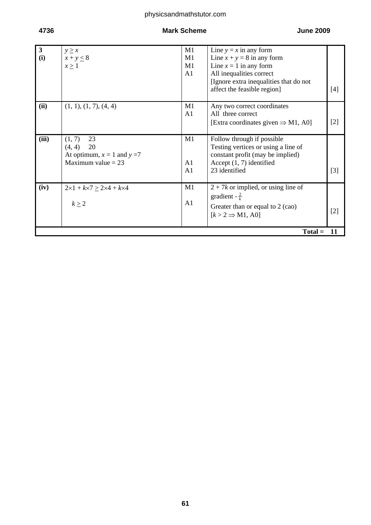## physicsandmathstutor.com

## **4736 Mark Scheme June 2009**

| $\mathbf{3}$ | $y \geq x$                                            | M1             | Line $y = x$ in any form                       |       |
|--------------|-------------------------------------------------------|----------------|------------------------------------------------|-------|
| (i)          | $x + y \leq 8$                                        | M1             | Line $x + y = 8$ in any form                   |       |
|              | $x \geq 1$                                            | M1             | Line $x = 1$ in any form                       |       |
|              |                                                       | A <sub>1</sub> | All inequalities correct                       |       |
|              |                                                       |                | [Ignore extra inequalities that do not         |       |
|              |                                                       |                | affect the feasible region]                    | [4]   |
| (ii)         | (1, 1), (1, 7), (4, 4)                                | M1             | Any two correct coordinates                    |       |
|              |                                                       | A1             | All three correct                              |       |
|              |                                                       |                | [Extra coordinates given $\Rightarrow$ M1, A0] | $[2]$ |
| (iii)        | 23<br>(1, 7)                                          | M1             | Follow through if possible                     |       |
|              | 20<br>(4, 4)                                          |                | Testing vertices or using a line of            |       |
|              | At optimum, $x = 1$ and $y = 7$                       |                | constant profit (may be implied)               |       |
|              | Maximum value $= 23$                                  | A1             | Accept $(1, 7)$ identified                     |       |
|              |                                                       | A <sub>1</sub> | 23 identified                                  | $[3]$ |
| (iv)         | $2 \times 1 + k \times 7 \ge 2 \times 4 + k \times 4$ | M1             | $2 + 7k$ or implied, or using line of          |       |
|              |                                                       |                | gradient - $\frac{2}{k}$                       |       |
|              | $k \geq 2$                                            | A1             | Greater than or equal to 2 (cao)               |       |
|              |                                                       |                | $[k > 2 \Rightarrow M1, A0]$                   | $[2]$ |
|              |                                                       |                |                                                |       |
|              | $Total =$<br>11                                       |                |                                                |       |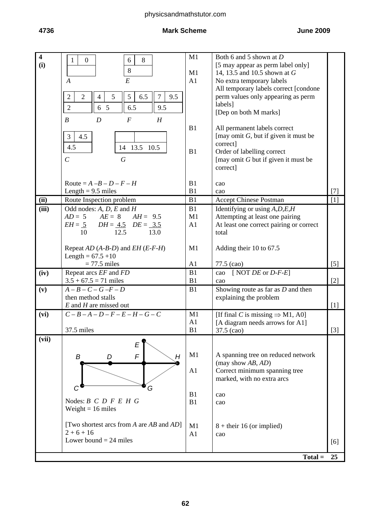## physicsandmathstutor.com

#### **4736 Mark Scheme June 2009**

| $\overline{\mathbf{4}}$<br>(i) | 8<br>$\mathbf{1}$<br>$\overline{0}$<br>6<br>8<br>E<br>$\boldsymbol{A}$                                                                                                                           | M1<br>M1<br>A1 | Both 6 and 5 shown at D<br>[5 may appear as perm label only]<br>14, 13.5 and 10.5 shown at G<br>No extra temporary labels<br>All temporary labels correct [condone |                   |
|--------------------------------|--------------------------------------------------------------------------------------------------------------------------------------------------------------------------------------------------|----------------|--------------------------------------------------------------------------------------------------------------------------------------------------------------------|-------------------|
|                                | $\sqrt{2}$<br>$\overline{2}$<br>$\overline{7}$<br>5<br>6.5<br>9.5<br>$\overline{4}$<br>5<br>$\overline{2}$<br>6 5<br>6.5<br>9.5<br>$\boldsymbol{B}$<br>$\boldsymbol{D}$<br>$\boldsymbol{F}$<br>H |                | perm values only appearing as perm<br>labels]<br>[Dep on both M marks]                                                                                             |                   |
|                                | 3<br>4.5<br>4.5<br>14 13.5 10.5<br>$\mathcal{C}_{0}^{(n)}$<br>$\boldsymbol{G}$                                                                                                                   | B1<br>B1       | All permanent labels correct<br>[may omit $G$ , but if given it must be<br>correct]<br>Order of labelling correct                                                  |                   |
|                                |                                                                                                                                                                                                  |                | [may omit $G$ but if given it must be<br>correct]                                                                                                                  |                   |
|                                | Route = $A - B - D - F - H$                                                                                                                                                                      | B1             | cao                                                                                                                                                                |                   |
| (ii)                           | Length = $9.5$ miles<br>Route Inspection problem                                                                                                                                                 | B1<br>B1       | cao<br><b>Accept Chinese Postman</b>                                                                                                                               | $[7]$<br>[1]      |
| (iii)                          | Odd nodes: $A, D, E$ and $H$                                                                                                                                                                     | B1             | Identifying or using $A, D, E, H$                                                                                                                                  |                   |
|                                | $AD = 5$ $AE = 8$ $AH = 9.5$                                                                                                                                                                     | M1             | Attempting at least one pairing                                                                                                                                    |                   |
|                                | $EH = 5$ $DH = 4.5$ $DE = 3.5$                                                                                                                                                                   | A1             | At least one correct pairing or correct                                                                                                                            |                   |
|                                | 10<br>12.5<br>13.0                                                                                                                                                                               |                | total                                                                                                                                                              |                   |
|                                |                                                                                                                                                                                                  | M1             |                                                                                                                                                                    |                   |
|                                | Repeat $AD(A-B-D)$ and $EH(E-F-H)$<br>Length = $67.5 + 10$                                                                                                                                       |                | Adding their 10 to 67.5                                                                                                                                            |                   |
|                                | $= 77.5$ miles                                                                                                                                                                                   | A1             | 77.5 (cao)                                                                                                                                                         | $\lceil 5 \rceil$ |
| (iv)                           | Repeat arcs EF and FD                                                                                                                                                                            | B1             | cao [NOT $DE$ or $D$ - $F$ - $E$ ]                                                                                                                                 |                   |
|                                | $3.5 + 67.5 = 71$ miles                                                                                                                                                                          | B1             | cao                                                                                                                                                                | $[2]$             |
| (v)                            | $A-B-C-G-F-D$                                                                                                                                                                                    | B1             | Showing route as far as $D$ and then                                                                                                                               |                   |
|                                | then method stalls                                                                                                                                                                               |                | explaining the problem                                                                                                                                             |                   |
|                                | $E$ and $H$ are missed out<br>$C - B - A - D - F - E - H - G - C$                                                                                                                                | M1             |                                                                                                                                                                    | [1]               |
| (vi)                           |                                                                                                                                                                                                  | A1             | [If final C is missing $\Rightarrow$ M1, A0]<br>[A diagram needs arrows for A1]                                                                                    |                   |
|                                | 37.5 miles                                                                                                                                                                                       | B <sub>1</sub> | 37.5 (cao)                                                                                                                                                         | $[3]$             |
| $\overline{\text{(vii)}}$      | E<br>F<br>H<br>B<br>D                                                                                                                                                                            | M1             | A spanning tree on reduced network                                                                                                                                 |                   |
|                                |                                                                                                                                                                                                  |                | (may show AB, AD)                                                                                                                                                  |                   |
|                                |                                                                                                                                                                                                  | A1             | Correct minimum spanning tree                                                                                                                                      |                   |
|                                |                                                                                                                                                                                                  |                | marked, with no extra arcs                                                                                                                                         |                   |
|                                | G                                                                                                                                                                                                | B1             | cao                                                                                                                                                                |                   |
|                                | Nodes: $B \ C \ D \ F \ E \ H \ G$<br>Weight = $16$ miles                                                                                                                                        | B1             | cao                                                                                                                                                                |                   |
|                                | [Two shortest arcs from $A$ are $AB$ and $AD$ ]                                                                                                                                                  | M1             | $8 +$ their 16 (or implied)                                                                                                                                        |                   |
|                                | $2+6+16$                                                                                                                                                                                         | A1             | cao                                                                                                                                                                |                   |
|                                | Lower bound $= 24$ miles                                                                                                                                                                         |                |                                                                                                                                                                    | [6]               |
|                                |                                                                                                                                                                                                  |                |                                                                                                                                                                    |                   |
|                                |                                                                                                                                                                                                  |                | $Total =$                                                                                                                                                          | 25                |